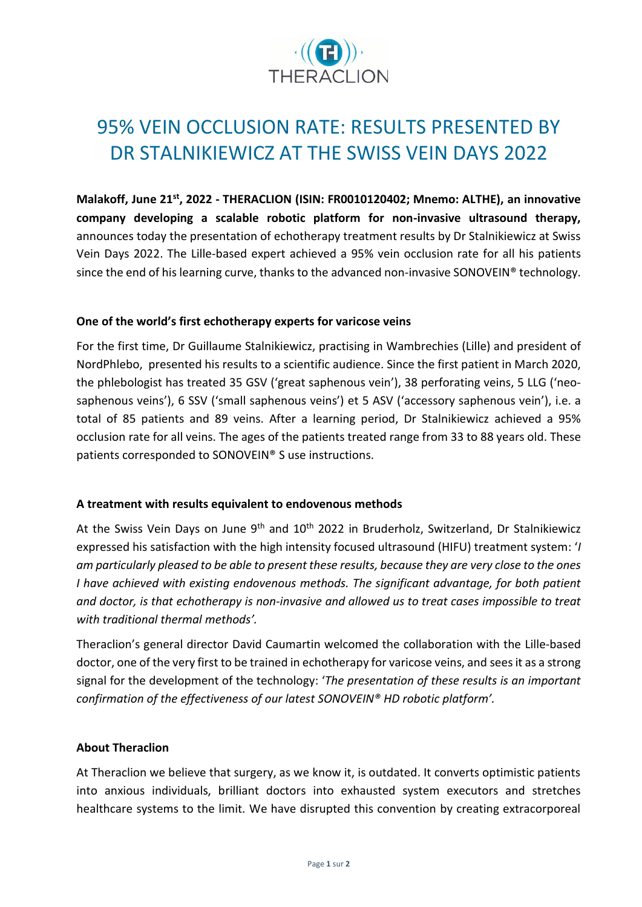

# 95% VEIN OCCLUSION RATE: RESULTS PRESENTED BY DR STALNIKIEWICZ AT THE SWISS VEIN DAYS 2022

**Malakoff, June 21 st , 2022 - THERACLION (ISIN: FR0010120402; Mnemo: ALTHE), an innovative company developing a scalable robotic platform for non-invasive ultrasound therapy,**  announces today the presentation of echotherapy treatment results by Dr Stalnikiewicz at Swiss Vein Days 2022. The Lille-based expert achieved a 95% vein occlusion rate for all his patients since the end of his learning curve, thanks to the advanced non-invasive SONOVEIN® technology.

### **One of the world's first echotherapy experts for varicose veins**

For the first time, Dr Guillaume Stalnikiewicz, practising in Wambrechies (Lille) and president of NordPhlebo, presented his results to a scientific audience. Since the first patient in March 2020, the phlebologist has treated 35 GSV ('great saphenous vein'), 38 perforating veins, 5 LLG ('neosaphenous veins'), 6 SSV ('small saphenous veins') et 5 ASV ('accessory saphenous vein'), i.e. a total of 85 patients and 89 veins. After a learning period, Dr Stalnikiewicz achieved a 95% occlusion rate for all veins. The ages of the patients treated range from 33 to 88 years old. These patients corresponded to SONOVEIN® S use instructions.

### **A treatment with results equivalent to endovenous methods**

At the Swiss Vein Days on June 9<sup>th</sup> and 10<sup>th</sup> 2022 in Bruderholz, Switzerland, Dr Stalnikiewicz expressed his satisfaction with the high intensity focused ultrasound (HIFU) treatment system: '*I am particularly pleased to be able to present these results, because they are very close to the ones I have achieved with existing endovenous methods. The significant advantage, for both patient and doctor, is that echotherapy is non-invasive and allowed us to treat cases impossible to treat with traditional thermal methods'.*

Theraclion's general director David Caumartin welcomed the collaboration with the Lille-based doctor, one of the very first to be trained in echotherapy for varicose veins, and seesit as a strong signal for the development of the technology: '*The presentation of these results is an important confirmation of the effectiveness of our latest SONOVEIN® HD robotic platform'.*

### **About Theraclion**

At Theraclion we believe that surgery, as we know it, is outdated. It converts optimistic patients into anxious individuals, brilliant doctors into exhausted system executors and stretches healthcare systems to the limit. We have disrupted this convention by creating extracorporeal